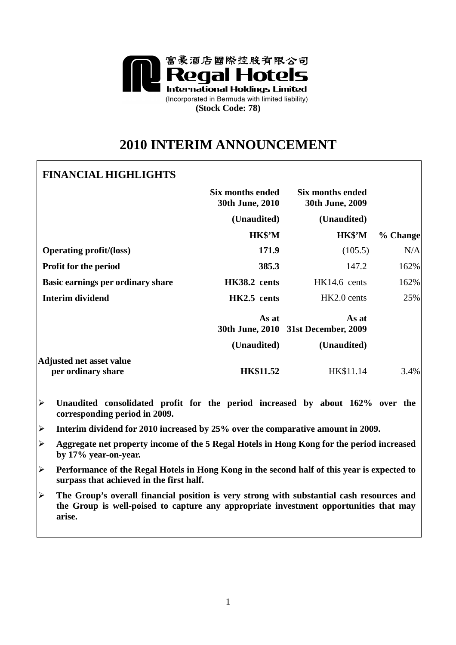

# **2010 INTERIM ANNOUNCEMENT**

# **FINANCIAL HIGHLIGHTS**

|                                                       | Six months ended<br>30th June, 2010 | Six months ended<br>30th June, 2009          |          |
|-------------------------------------------------------|-------------------------------------|----------------------------------------------|----------|
|                                                       | (Unaudited)                         | (Unaudited)                                  |          |
|                                                       | HK\$'M                              | HK\$'M                                       | % Change |
| <b>Operating profit/(loss)</b>                        | 171.9                               | (105.5)                                      | N/A      |
| <b>Profit for the period</b>                          | 385.3                               | 147.2                                        | 162%     |
| Basic earnings per ordinary share                     | HK38.2 cents                        | HK14.6 cents                                 | 162%     |
| Interim dividend                                      | HK2.5 cents                         | HK2.0 cents                                  | 25%      |
|                                                       | As at                               | As at<br>30th June, 2010 31st December, 2009 |          |
|                                                       | (Unaudited)                         | (Unaudited)                                  |          |
| <b>Adjusted net asset value</b><br>per ordinary share | <b>HK\$11.52</b>                    | HK\$11.14                                    | 3.4%     |

- **Unaudited consolidated profit for the period increased by about 162% over the corresponding period in 2009.**
- **Interim dividend for 2010 increased by 25% over the comparative amount in 2009.**
- **Aggregate net property income of the 5 Regal Hotels in Hong Kong for the period increased by 17% year-on-year.**
- **Performance of the Regal Hotels in Hong Kong in the second half of this year is expected to surpass that achieved in the first half.**
- **The Group's overall financial position is very strong with substantial cash resources and the Group is well-poised to capture any appropriate investment opportunities that may arise.**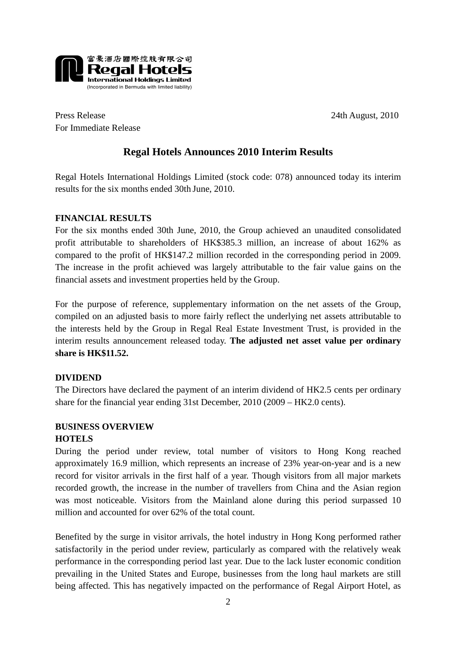

Press Release 24th August, 2010 For Immediate Release

# **Regal Hotels Announces 2010 Interim Results**

Regal Hotels International Holdings Limited (stock code: 078) announced today its interim results for the six months ended 30th June, 2010.

# **FINANCIAL RESULTS**

For the six months ended 30th June, 2010, the Group achieved an unaudited consolidated profit attributable to shareholders of HK\$385.3 million, an increase of about 162% as compared to the profit of HK\$147.2 million recorded in the corresponding period in 2009. The increase in the profit achieved was largely attributable to the fair value gains on the financial assets and investment properties held by the Group.

For the purpose of reference, supplementary information on the net assets of the Group, compiled on an adjusted basis to more fairly reflect the underlying net assets attributable to the interests held by the Group in Regal Real Estate Investment Trust, is provided in the interim results announcement released today. **The adjusted net asset value per ordinary share is HK\$11.52.** 

# **DIVIDEND**

The Directors have declared the payment of an interim dividend of HK2.5 cents per ordinary share for the financial year ending 31st December, 2010 (2009 – HK2.0 cents).

# **BUSINESS OVERVIEW HOTELS**

During the period under review, total number of visitors to Hong Kong reached approximately 16.9 million, which represents an increase of 23% year-on-year and is a new record for visitor arrivals in the first half of a year. Though visitors from all major markets recorded growth, the increase in the number of travellers from China and the Asian region was most noticeable. Visitors from the Mainland alone during this period surpassed 10 million and accounted for over 62% of the total count.

Benefited by the surge in visitor arrivals, the hotel industry in Hong Kong performed rather satisfactorily in the period under review, particularly as compared with the relatively weak performance in the corresponding period last year. Due to the lack luster economic condition prevailing in the United States and Europe, businesses from the long haul markets are still being affected. This has negatively impacted on the performance of Regal Airport Hotel, as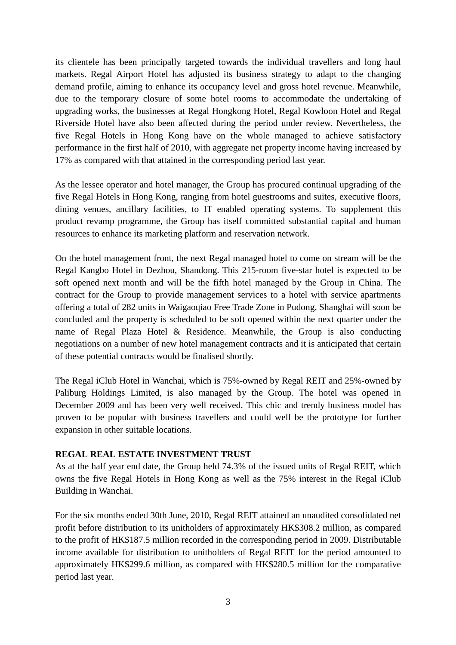its clientele has been principally targeted towards the individual travellers and long haul markets. Regal Airport Hotel has adjusted its business strategy to adapt to the changing demand profile, aiming to enhance its occupancy level and gross hotel revenue. Meanwhile, due to the temporary closure of some hotel rooms to accommodate the undertaking of upgrading works, the businesses at Regal Hongkong Hotel, Regal Kowloon Hotel and Regal Riverside Hotel have also been affected during the period under review. Nevertheless, the five Regal Hotels in Hong Kong have on the whole managed to achieve satisfactory performance in the first half of 2010, with aggregate net property income having increased by 17% as compared with that attained in the corresponding period last year.

As the lessee operator and hotel manager, the Group has procured continual upgrading of the five Regal Hotels in Hong Kong, ranging from hotel guestrooms and suites, executive floors, dining venues, ancillary facilities, to IT enabled operating systems. To supplement this product revamp programme, the Group has itself committed substantial capital and human resources to enhance its marketing platform and reservation network.

On the hotel management front, the next Regal managed hotel to come on stream will be the Regal Kangbo Hotel in Dezhou, Shandong. This 215-room five-star hotel is expected to be soft opened next month and will be the fifth hotel managed by the Group in China. The contract for the Group to provide management services to a hotel with service apartments offering a total of 282 units in Waigaoqiao Free Trade Zone in Pudong, Shanghai will soon be concluded and the property is scheduled to be soft opened within the next quarter under the name of Regal Plaza Hotel & Residence. Meanwhile, the Group is also conducting negotiations on a number of new hotel management contracts and it is anticipated that certain of these potential contracts would be finalised shortly.

The Regal iClub Hotel in Wanchai, which is 75%-owned by Regal REIT and 25%-owned by Paliburg Holdings Limited, is also managed by the Group. The hotel was opened in December 2009 and has been very well received. This chic and trendy business model has proven to be popular with business travellers and could well be the prototype for further expansion in other suitable locations.

#### **REGAL REAL ESTATE INVESTMENT TRUST**

As at the half year end date, the Group held 74.3% of the issued units of Regal REIT, which owns the five Regal Hotels in Hong Kong as well as the 75% interest in the Regal iClub Building in Wanchai.

For the six months ended 30th June, 2010, Regal REIT attained an unaudited consolidated net profit before distribution to its unitholders of approximately HK\$308.2 million, as compared to the profit of HK\$187.5 million recorded in the corresponding period in 2009. Distributable income available for distribution to unitholders of Regal REIT for the period amounted to approximately HK\$299.6 million, as compared with HK\$280.5 million for the comparative period last year.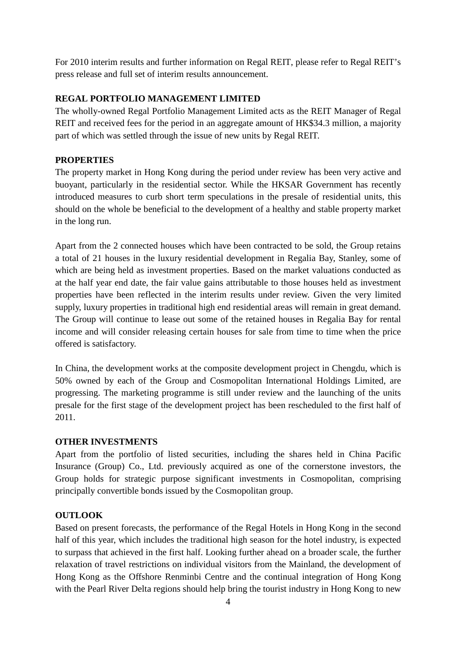For 2010 interim results and further information on Regal REIT, please refer to Regal REIT's press release and full set of interim results announcement.

# **REGAL PORTFOLIO MANAGEMENT LIMITED**

The wholly-owned Regal Portfolio Management Limited acts as the REIT Manager of Regal REIT and received fees for the period in an aggregate amount of HK\$34.3 million, a majority part of which was settled through the issue of new units by Regal REIT.

#### **PROPERTIES**

The property market in Hong Kong during the period under review has been very active and buoyant, particularly in the residential sector. While the HKSAR Government has recently introduced measures to curb short term speculations in the presale of residential units, this should on the whole be beneficial to the development of a healthy and stable property market in the long run.

Apart from the 2 connected houses which have been contracted to be sold, the Group retains a total of 21 houses in the luxury residential development in Regalia Bay, Stanley, some of which are being held as investment properties. Based on the market valuations conducted as at the half year end date, the fair value gains attributable to those houses held as investment properties have been reflected in the interim results under review. Given the very limited supply, luxury properties in traditional high end residential areas will remain in great demand. The Group will continue to lease out some of the retained houses in Regalia Bay for rental income and will consider releasing certain houses for sale from time to time when the price offered is satisfactory.

In China, the development works at the composite development project in Chengdu, which is 50% owned by each of the Group and Cosmopolitan International Holdings Limited, are progressing. The marketing programme is still under review and the launching of the units presale for the first stage of the development project has been rescheduled to the first half of 2011.

# **OTHER INVESTMENTS**

Apart from the portfolio of listed securities, including the shares held in China Pacific Insurance (Group) Co., Ltd. previously acquired as one of the cornerstone investors, the Group holds for strategic purpose significant investments in Cosmopolitan, comprising principally convertible bonds issued by the Cosmopolitan group.

# **OUTLOOK**

Based on present forecasts, the performance of the Regal Hotels in Hong Kong in the second half of this year, which includes the traditional high season for the hotel industry, is expected to surpass that achieved in the first half. Looking further ahead on a broader scale, the further relaxation of travel restrictions on individual visitors from the Mainland, the development of Hong Kong as the Offshore Renminbi Centre and the continual integration of Hong Kong with the Pearl River Delta regions should help bring the tourist industry in Hong Kong to new